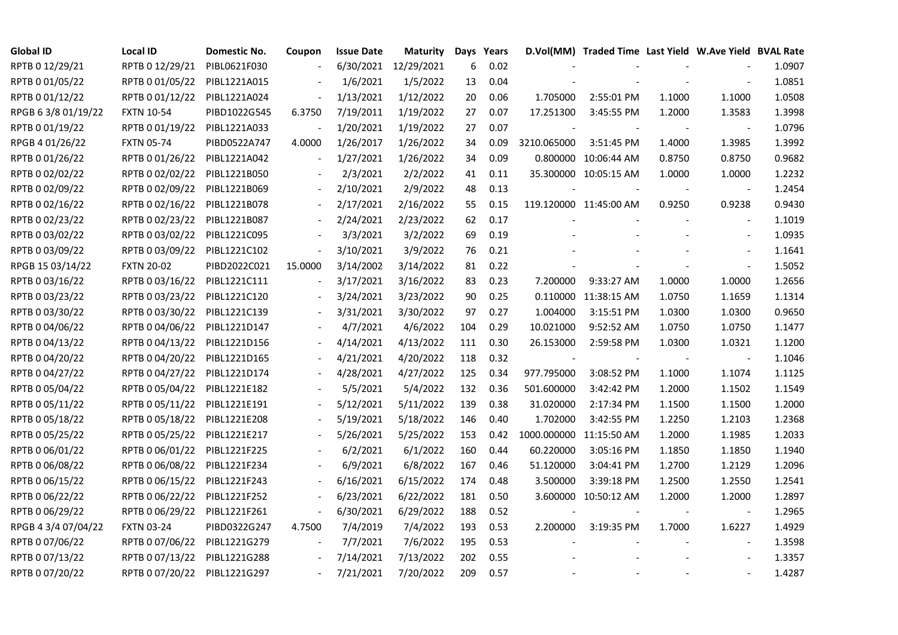| <b>Global ID</b>    | <b>Local ID</b>   | Domestic No. | Coupon                   | <b>Issue Date</b> | Maturity   |     | Days Years |                          | D.Vol(MM) Traded Time Last Yield W.Ave Yield BVAL Rate |        |                          |        |
|---------------------|-------------------|--------------|--------------------------|-------------------|------------|-----|------------|--------------------------|--------------------------------------------------------|--------|--------------------------|--------|
| RPTB 0 12/29/21     | RPTB 0 12/29/21   | PIBL0621F030 |                          | 6/30/2021         | 12/29/2021 | 6   | 0.02       |                          |                                                        |        |                          | 1.0907 |
| RPTB 0 01/05/22     | RPTB 0 01/05/22   | PIBL1221A015 |                          | 1/6/2021          | 1/5/2022   | 13  | 0.04       |                          |                                                        |        |                          | 1.0851 |
| RPTB 0 01/12/22     | RPTB 0 01/12/22   | PIBL1221A024 |                          | 1/13/2021         | 1/12/2022  | 20  | 0.06       | 1.705000                 | 2:55:01 PM                                             | 1.1000 | 1.1000                   | 1.0508 |
| RPGB 63/8 01/19/22  | <b>FXTN 10-54</b> | PIBD1022G545 | 6.3750                   | 7/19/2011         | 1/19/2022  | 27  | 0.07       | 17.251300                | 3:45:55 PM                                             | 1.2000 | 1.3583                   | 1.3998 |
| RPTB 0 01/19/22     | RPTB 0 01/19/22   | PIBL1221A033 |                          | 1/20/2021         | 1/19/2022  | 27  | 0.07       |                          |                                                        |        |                          | 1.0796 |
| RPGB 4 01/26/22     | <b>FXTN 05-74</b> | PIBD0522A747 | 4.0000                   | 1/26/2017         | 1/26/2022  | 34  | 0.09       | 3210.065000              | 3:51:45 PM                                             | 1.4000 | 1.3985                   | 1.3992 |
| RPTB 0 01/26/22     | RPTB 0 01/26/22   | PIBL1221A042 | $\blacksquare$           | 1/27/2021         | 1/26/2022  | 34  | 0.09       |                          | 0.800000 10:06:44 AM                                   | 0.8750 | 0.8750                   | 0.9682 |
| RPTB 0 02/02/22     | RPTB 0 02/02/22   | PIBL1221B050 |                          | 2/3/2021          | 2/2/2022   | 41  | 0.11       |                          | 35.300000 10:05:15 AM                                  | 1.0000 | 1.0000                   | 1.2232 |
| RPTB 0 02/09/22     | RPTB 0 02/09/22   | PIBL1221B069 |                          | 2/10/2021         | 2/9/2022   | 48  | 0.13       |                          |                                                        |        |                          | 1.2454 |
| RPTB 0 02/16/22     | RPTB 0 02/16/22   | PIBL1221B078 |                          | 2/17/2021         | 2/16/2022  | 55  | 0.15       |                          | 119.120000 11:45:00 AM                                 | 0.9250 | 0.9238                   | 0.9430 |
| RPTB 0 02/23/22     | RPTB 0 02/23/22   | PIBL1221B087 | $\overline{\phantom{a}}$ | 2/24/2021         | 2/23/2022  | 62  | 0.17       |                          |                                                        |        | $\blacksquare$           | 1.1019 |
| RPTB 0 03/02/22     | RPTB 0 03/02/22   | PIBL1221C095 |                          | 3/3/2021          | 3/2/2022   | 69  | 0.19       |                          |                                                        |        |                          | 1.0935 |
| RPTB 0 03/09/22     | RPTB 0 03/09/22   | PIBL1221C102 | $\blacksquare$           | 3/10/2021         | 3/9/2022   | 76  | 0.21       |                          |                                                        |        | $\blacksquare$           | 1.1641 |
| RPGB 15 03/14/22    | <b>FXTN 20-02</b> | PIBD2022C021 | 15.0000                  | 3/14/2002         | 3/14/2022  | 81  | 0.22       |                          |                                                        |        | $\overline{\phantom{a}}$ | 1.5052 |
| RPTB 0 03/16/22     | RPTB 0 03/16/22   | PIBL1221C111 | $\overline{\phantom{a}}$ | 3/17/2021         | 3/16/2022  | 83  | 0.23       | 7.200000                 | 9:33:27 AM                                             | 1.0000 | 1.0000                   | 1.2656 |
| RPTB 0 03/23/22     | RPTB 0 03/23/22   | PIBL1221C120 |                          | 3/24/2021         | 3/23/2022  | 90  | 0.25       |                          | 0.110000 11:38:15 AM                                   | 1.0750 | 1.1659                   | 1.1314 |
| RPTB 0 03/30/22     | RPTB 0 03/30/22   | PIBL1221C139 |                          | 3/31/2021         | 3/30/2022  | 97  | 0.27       | 1.004000                 | 3:15:51 PM                                             | 1.0300 | 1.0300                   | 0.9650 |
| RPTB 0 04/06/22     | RPTB 0 04/06/22   | PIBL1221D147 |                          | 4/7/2021          | 4/6/2022   | 104 | 0.29       | 10.021000                | 9:52:52 AM                                             | 1.0750 | 1.0750                   | 1.1477 |
| RPTB 0 04/13/22     | RPTB 0 04/13/22   | PIBL1221D156 |                          | 4/14/2021         | 4/13/2022  | 111 | 0.30       | 26.153000                | 2:59:58 PM                                             | 1.0300 | 1.0321                   | 1.1200 |
| RPTB 0 04/20/22     | RPTB 0 04/20/22   | PIBL1221D165 |                          | 4/21/2021         | 4/20/2022  | 118 | 0.32       | $\overline{\phantom{a}}$ |                                                        |        | $\overline{\phantom{a}}$ | 1.1046 |
| RPTB 0 04/27/22     | RPTB 0 04/27/22   | PIBL1221D174 |                          | 4/28/2021         | 4/27/2022  | 125 | 0.34       | 977.795000               | 3:08:52 PM                                             | 1.1000 | 1.1074                   | 1.1125 |
| RPTB 0 05/04/22     | RPTB 0 05/04/22   | PIBL1221E182 |                          | 5/5/2021          | 5/4/2022   | 132 | 0.36       | 501.600000               | 3:42:42 PM                                             | 1.2000 | 1.1502                   | 1.1549 |
| RPTB 0 05/11/22     | RPTB 0 05/11/22   | PIBL1221E191 |                          | 5/12/2021         | 5/11/2022  | 139 | 0.38       | 31.020000                | 2:17:34 PM                                             | 1.1500 | 1.1500                   | 1.2000 |
| RPTB 0 05/18/22     | RPTB 0 05/18/22   | PIBL1221E208 |                          | 5/19/2021         | 5/18/2022  | 146 | 0.40       | 1.702000                 | 3:42:55 PM                                             | 1.2250 | 1.2103                   | 1.2368 |
| RPTB 0 05/25/22     | RPTB 0 05/25/22   | PIBL1221E217 |                          | 5/26/2021         | 5/25/2022  | 153 | 0.42       |                          | 1000.000000 11:15:50 AM                                | 1.2000 | 1.1985                   | 1.2033 |
| RPTB 0 06/01/22     | RPTB 0 06/01/22   | PIBL1221F225 |                          | 6/2/2021          | 6/1/2022   | 160 | 0.44       | 60.220000                | 3:05:16 PM                                             | 1.1850 | 1.1850                   | 1.1940 |
| RPTB 0 06/08/22     | RPTB 0 06/08/22   | PIBL1221F234 |                          | 6/9/2021          | 6/8/2022   | 167 | 0.46       | 51.120000                | 3:04:41 PM                                             | 1.2700 | 1.2129                   | 1.2096 |
| RPTB 0 06/15/22     | RPTB 0 06/15/22   | PIBL1221F243 |                          | 6/16/2021         | 6/15/2022  | 174 | 0.48       | 3.500000                 | 3:39:18 PM                                             | 1.2500 | 1.2550                   | 1.2541 |
| RPTB 0 06/22/22     | RPTB 0 06/22/22   | PIBL1221F252 |                          | 6/23/2021         | 6/22/2022  | 181 | 0.50       |                          | 3.600000 10:50:12 AM                                   | 1.2000 | 1.2000                   | 1.2897 |
| RPTB 0 06/29/22     | RPTB 0 06/29/22   | PIBL1221F261 |                          | 6/30/2021         | 6/29/2022  | 188 | 0.52       |                          |                                                        |        |                          | 1.2965 |
| RPGB 4 3/4 07/04/22 | <b>FXTN 03-24</b> | PIBD0322G247 | 4.7500                   | 7/4/2019          | 7/4/2022   | 193 | 0.53       | 2.200000                 | 3:19:35 PM                                             | 1.7000 | 1.6227                   | 1.4929 |
| RPTB 0 07/06/22     | RPTB 0 07/06/22   | PIBL1221G279 |                          | 7/7/2021          | 7/6/2022   | 195 | 0.53       |                          |                                                        |        | $\overline{\phantom{a}}$ | 1.3598 |
| RPTB 0 07/13/22     | RPTB 0 07/13/22   | PIBL1221G288 |                          | 7/14/2021         | 7/13/2022  | 202 | 0.55       |                          |                                                        |        |                          | 1.3357 |
| RPTB 0 07/20/22     | RPTB 0 07/20/22   | PIBL1221G297 |                          | 7/21/2021         | 7/20/2022  | 209 | 0.57       |                          |                                                        |        |                          | 1.4287 |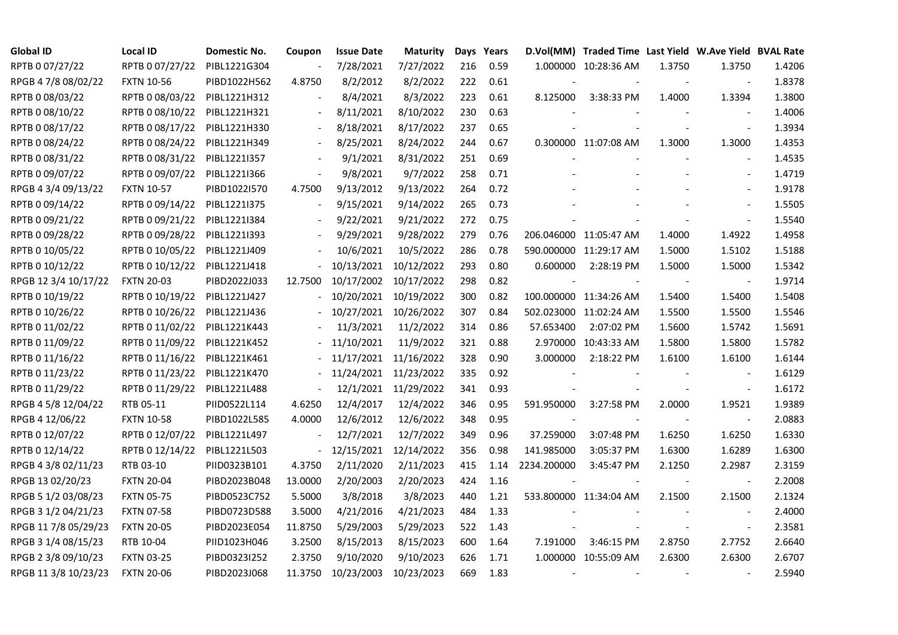| <b>Global ID</b>     | Local ID          | Domestic No. | Coupon                   | <b>Issue Date</b> | <b>Maturity</b> |     | Days Years |                          | D.Vol(MM) Traded Time Last Yield W.Ave Yield BVAL Rate |        |                          |        |
|----------------------|-------------------|--------------|--------------------------|-------------------|-----------------|-----|------------|--------------------------|--------------------------------------------------------|--------|--------------------------|--------|
| RPTB 0 07/27/22      | RPTB 0 07/27/22   | PIBL1221G304 |                          | 7/28/2021         | 7/27/2022       | 216 | 0.59       |                          | 1.000000 10:28:36 AM                                   | 1.3750 | 1.3750                   | 1.4206 |
| RPGB 4 7/8 08/02/22  | <b>FXTN 10-56</b> | PIBD1022H562 | 4.8750                   | 8/2/2012          | 8/2/2022        | 222 | 0.61       |                          |                                                        |        |                          | 1.8378 |
| RPTB 0 08/03/22      | RPTB 0 08/03/22   | PIBL1221H312 | $\blacksquare$           | 8/4/2021          | 8/3/2022        | 223 | 0.61       | 8.125000                 | 3:38:33 PM                                             | 1.4000 | 1.3394                   | 1.3800 |
| RPTB 0 08/10/22      | RPTB 0 08/10/22   | PIBL1221H321 | $\overline{\phantom{a}}$ | 8/11/2021         | 8/10/2022       | 230 | 0.63       |                          |                                                        |        |                          | 1.4006 |
| RPTB 0 08/17/22      | RPTB 0 08/17/22   | PIBL1221H330 | $\blacksquare$           | 8/18/2021         | 8/17/2022       | 237 | 0.65       |                          |                                                        |        | $\blacksquare$           | 1.3934 |
| RPTB 0 08/24/22      | RPTB 0 08/24/22   | PIBL1221H349 |                          | 8/25/2021         | 8/24/2022       | 244 | 0.67       |                          | 0.300000 11:07:08 AM                                   | 1.3000 | 1.3000                   | 1.4353 |
| RPTB 0 08/31/22      | RPTB 0 08/31/22   | PIBL12211357 |                          | 9/1/2021          | 8/31/2022       | 251 | 0.69       |                          |                                                        |        | $\overline{\phantom{a}}$ | 1.4535 |
| RPTB 0 09/07/22      | RPTB 0 09/07/22   | PIBL1221I366 | $\overline{\phantom{a}}$ | 9/8/2021          | 9/7/2022        | 258 | 0.71       |                          |                                                        |        |                          | 1.4719 |
| RPGB 4 3/4 09/13/22  | <b>FXTN 10-57</b> | PIBD1022I570 | 4.7500                   | 9/13/2012         | 9/13/2022       | 264 | 0.72       |                          |                                                        |        |                          | 1.9178 |
| RPTB 0 09/14/22      | RPTB 0 09/14/22   | PIBL1221I375 | $\overline{\phantom{a}}$ | 9/15/2021         | 9/14/2022       | 265 | 0.73       |                          |                                                        |        | $\overline{\phantom{a}}$ | 1.5505 |
| RPTB 0 09/21/22      | RPTB 0 09/21/22   | PIBL1221I384 | $\blacksquare$           | 9/22/2021         | 9/21/2022       | 272 | 0.75       |                          |                                                        |        | $\frac{1}{2}$            | 1.5540 |
| RPTB 0 09/28/22      | RPTB 0 09/28/22   | PIBL1221I393 |                          | 9/29/2021         | 9/28/2022       | 279 | 0.76       |                          | 206.046000 11:05:47 AM                                 | 1.4000 | 1.4922                   | 1.4958 |
| RPTB 0 10/05/22      | RPTB 0 10/05/22   | PIBL1221J409 |                          | 10/6/2021         | 10/5/2022       | 286 | 0.78       |                          | 590.000000 11:29:17 AM                                 | 1.5000 | 1.5102                   | 1.5188 |
| RPTB 0 10/12/22      | RPTB 0 10/12/22   | PIBL1221J418 |                          | 10/13/2021        | 10/12/2022      | 293 | 0.80       | 0.600000                 | 2:28:19 PM                                             | 1.5000 | 1.5000                   | 1.5342 |
| RPGB 12 3/4 10/17/22 | <b>FXTN 20-03</b> | PIBD2022J033 | 12.7500                  | 10/17/2002        | 10/17/2022      | 298 | 0.82       |                          |                                                        |        | $\overline{\phantom{a}}$ | 1.9714 |
| RPTB 0 10/19/22      | RPTB 0 10/19/22   | PIBL1221J427 |                          | 10/20/2021        | 10/19/2022      | 300 | 0.82       |                          | 100.000000 11:34:26 AM                                 | 1.5400 | 1.5400                   | 1.5408 |
| RPTB 0 10/26/22      | RPTB 0 10/26/22   | PIBL1221J436 |                          | 10/27/2021        | 10/26/2022      | 307 | 0.84       |                          | 502.023000 11:02:24 AM                                 | 1.5500 | 1.5500                   | 1.5546 |
| RPTB 0 11/02/22      | RPTB 0 11/02/22   | PIBL1221K443 |                          | 11/3/2021         | 11/2/2022       | 314 | 0.86       | 57.653400                | 2:07:02 PM                                             | 1.5600 | 1.5742                   | 1.5691 |
| RPTB 0 11/09/22      | RPTB 0 11/09/22   | PIBL1221K452 |                          | 11/10/2021        | 11/9/2022       | 321 | 0.88       |                          | 2.970000 10:43:33 AM                                   | 1.5800 | 1.5800                   | 1.5782 |
| RPTB 0 11/16/22      | RPTB 0 11/16/22   | PIBL1221K461 |                          | 11/17/2021        | 11/16/2022      | 328 | 0.90       | 3.000000                 | 2:18:22 PM                                             | 1.6100 | 1.6100                   | 1.6144 |
| RPTB 0 11/23/22      | RPTB 0 11/23/22   | PIBL1221K470 |                          | 11/24/2021        | 11/23/2022      | 335 | 0.92       |                          |                                                        |        | $\blacksquare$           | 1.6129 |
| RPTB 0 11/29/22      | RPTB 0 11/29/22   | PIBL1221L488 | $\blacksquare$           | 12/1/2021         | 11/29/2022      | 341 | 0.93       |                          |                                                        |        | $\blacksquare$           | 1.6172 |
| RPGB 4 5/8 12/04/22  | RTB 05-11         | PIID0522L114 | 4.6250                   | 12/4/2017         | 12/4/2022       | 346 | 0.95       | 591.950000               | 3:27:58 PM                                             | 2.0000 | 1.9521                   | 1.9389 |
| RPGB 4 12/06/22      | <b>FXTN 10-58</b> | PIBD1022L585 | 4.0000                   | 12/6/2012         | 12/6/2022       | 348 | 0.95       |                          |                                                        |        | $\overline{\phantom{a}}$ | 2.0883 |
| RPTB 0 12/07/22      | RPTB 0 12/07/22   | PIBL1221L497 | $\blacksquare$           | 12/7/2021         | 12/7/2022       | 349 | 0.96       | 37.259000                | 3:07:48 PM                                             | 1.6250 | 1.6250                   | 1.6330 |
| RPTB 0 12/14/22      | RPTB 0 12/14/22   | PIBL1221L503 | $\overline{\phantom{a}}$ | 12/15/2021        | 12/14/2022      | 356 | 0.98       | 141.985000               | 3:05:37 PM                                             | 1.6300 | 1.6289                   | 1.6300 |
| RPGB 4 3/8 02/11/23  | RTB 03-10         | PIID0323B101 | 4.3750                   | 2/11/2020         | 2/11/2023       | 415 | 1.14       | 2234.200000              | 3:45:47 PM                                             | 2.1250 | 2.2987                   | 2.3159 |
| RPGB 13 02/20/23     | <b>FXTN 20-04</b> | PIBD2023B048 | 13.0000                  | 2/20/2003         | 2/20/2023       | 424 | 1.16       |                          |                                                        |        | $\blacksquare$           | 2.2008 |
| RPGB 5 1/2 03/08/23  | <b>FXTN 05-75</b> | PIBD0523C752 | 5.5000                   | 3/8/2018          | 3/8/2023        | 440 | 1.21       |                          | 533.800000 11:34:04 AM                                 | 2.1500 | 2.1500                   | 2.1324 |
| RPGB 3 1/2 04/21/23  | <b>FXTN 07-58</b> | PIBD0723D588 | 3.5000                   | 4/21/2016         | 4/21/2023       | 484 | 1.33       |                          |                                                        |        |                          | 2.4000 |
| RPGB 11 7/8 05/29/23 | <b>FXTN 20-05</b> | PIBD2023E054 | 11.8750                  | 5/29/2003         | 5/29/2023       | 522 | 1.43       |                          |                                                        |        | $\blacksquare$           | 2.3581 |
| RPGB 3 1/4 08/15/23  | RTB 10-04         | PIID1023H046 | 3.2500                   | 8/15/2013         | 8/15/2023       | 600 | 1.64       | 7.191000                 | 3:46:15 PM                                             | 2.8750 | 2.7752                   | 2.6640 |
| RPGB 2 3/8 09/10/23  | <b>FXTN 03-25</b> | PIBD0323I252 | 2.3750                   | 9/10/2020         | 9/10/2023       | 626 | 1.71       |                          | 1.000000 10:55:09 AM                                   | 2.6300 | 2.6300                   | 2.6707 |
| RPGB 11 3/8 10/23/23 | <b>FXTN 20-06</b> | PIBD2023J068 | 11.3750                  | 10/23/2003        | 10/23/2023      | 669 | 1.83       | $\overline{\phantom{a}}$ |                                                        |        |                          | 2.5940 |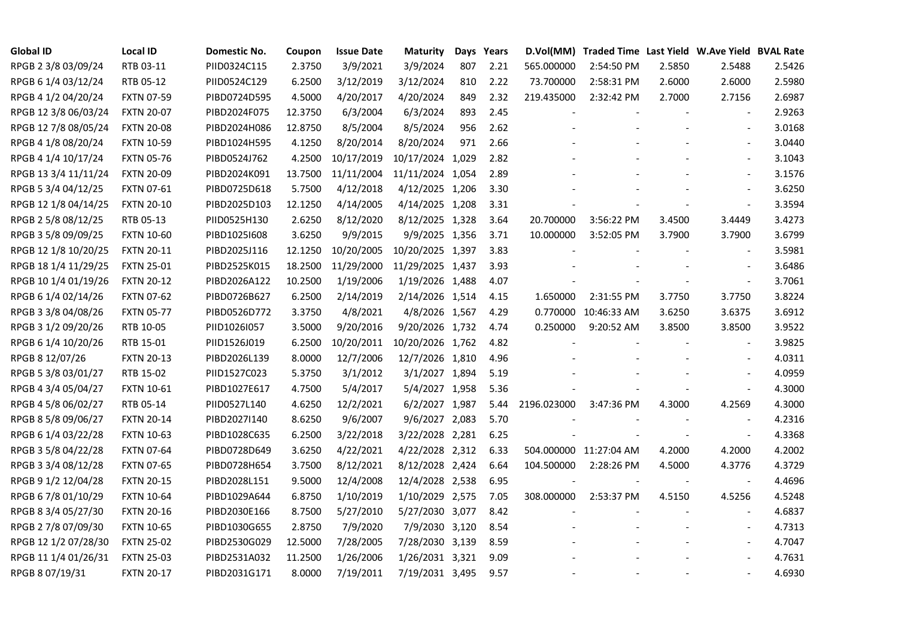| <b>Global ID</b>     | <b>Local ID</b>   | Domestic No. | Coupon  | <b>Issue Date</b> | <b>Maturity</b>  |     | Days Years | D.Vol(MM)   | Traded Time Last Yield W.Ave Yield BVAL Rate |        |                          |        |
|----------------------|-------------------|--------------|---------|-------------------|------------------|-----|------------|-------------|----------------------------------------------|--------|--------------------------|--------|
| RPGB 2 3/8 03/09/24  | RTB 03-11         | PIID0324C115 | 2.3750  | 3/9/2021          | 3/9/2024         | 807 | 2.21       | 565.000000  | 2:54:50 PM                                   | 2.5850 | 2.5488                   | 2.5426 |
| RPGB 6 1/4 03/12/24  | RTB 05-12         | PIID0524C129 | 6.2500  | 3/12/2019         | 3/12/2024        | 810 | 2.22       | 73.700000   | 2:58:31 PM                                   | 2.6000 | 2.6000                   | 2.5980 |
| RPGB 4 1/2 04/20/24  | <b>FXTN 07-59</b> | PIBD0724D595 | 4.5000  | 4/20/2017         | 4/20/2024        | 849 | 2.32       | 219.435000  | 2:32:42 PM                                   | 2.7000 | 2.7156                   | 2.6987 |
| RPGB 12 3/8 06/03/24 | <b>FXTN 20-07</b> | PIBD2024F075 | 12.3750 | 6/3/2004          | 6/3/2024         | 893 | 2.45       |             |                                              |        | $\overline{\phantom{a}}$ | 2.9263 |
| RPGB 12 7/8 08/05/24 | <b>FXTN 20-08</b> | PIBD2024H086 | 12.8750 | 8/5/2004          | 8/5/2024         | 956 | 2.62       |             |                                              |        | $\overline{\phantom{a}}$ | 3.0168 |
| RPGB 4 1/8 08/20/24  | <b>FXTN 10-59</b> | PIBD1024H595 | 4.1250  | 8/20/2014         | 8/20/2024        | 971 | 2.66       |             |                                              |        | $\blacksquare$           | 3.0440 |
| RPGB 4 1/4 10/17/24  | <b>FXTN 05-76</b> | PIBD0524J762 | 4.2500  | 10/17/2019        | 10/17/2024 1,029 |     | 2.82       |             |                                              |        | $\blacksquare$           | 3.1043 |
| RPGB 13 3/4 11/11/24 | <b>FXTN 20-09</b> | PIBD2024K091 | 13.7500 | 11/11/2004        | 11/11/2024 1,054 |     | 2.89       |             |                                              |        |                          | 3.1576 |
| RPGB 5 3/4 04/12/25  | <b>FXTN 07-61</b> | PIBD0725D618 | 5.7500  | 4/12/2018         | 4/12/2025 1,206  |     | 3.30       |             |                                              |        |                          | 3.6250 |
| RPGB 12 1/8 04/14/25 | <b>FXTN 20-10</b> | PIBD2025D103 | 12.1250 | 4/14/2005         | 4/14/2025 1,208  |     | 3.31       |             |                                              |        | $\overline{\phantom{a}}$ | 3.3594 |
| RPGB 2 5/8 08/12/25  | RTB 05-13         | PIID0525H130 | 2.6250  | 8/12/2020         | 8/12/2025 1,328  |     | 3.64       | 20.700000   | 3:56:22 PM                                   | 3.4500 | 3.4449                   | 3.4273 |
| RPGB 3 5/8 09/09/25  | <b>FXTN 10-60</b> | PIBD10251608 | 3.6250  | 9/9/2015          | 9/9/2025 1,356   |     | 3.71       | 10.000000   | 3:52:05 PM                                   | 3.7900 | 3.7900                   | 3.6799 |
| RPGB 12 1/8 10/20/25 | <b>FXTN 20-11</b> | PIBD2025J116 | 12.1250 | 10/20/2005        | 10/20/2025 1,397 |     | 3.83       |             |                                              |        | $\blacksquare$           | 3.5981 |
| RPGB 18 1/4 11/29/25 | <b>FXTN 25-01</b> | PIBD2525K015 | 18.2500 | 11/29/2000        | 11/29/2025 1,437 |     | 3.93       |             |                                              |        | $\blacksquare$           | 3.6486 |
| RPGB 10 1/4 01/19/26 | <b>FXTN 20-12</b> | PIBD2026A122 | 10.2500 | 1/19/2006         | 1/19/2026 1,488  |     | 4.07       |             |                                              |        | $\blacksquare$           | 3.7061 |
| RPGB 6 1/4 02/14/26  | <b>FXTN 07-62</b> | PIBD0726B627 | 6.2500  | 2/14/2019         | 2/14/2026 1,514  |     | 4.15       | 1.650000    | 2:31:55 PM                                   | 3.7750 | 3.7750                   | 3.8224 |
| RPGB 3 3/8 04/08/26  | <b>FXTN 05-77</b> | PIBD0526D772 | 3.3750  | 4/8/2021          | 4/8/2026 1,567   |     | 4.29       |             | 0.770000 10:46:33 AM                         | 3.6250 | 3.6375                   | 3.6912 |
| RPGB 3 1/2 09/20/26  | RTB 10-05         | PIID1026I057 | 3.5000  | 9/20/2016         | 9/20/2026 1,732  |     | 4.74       | 0.250000    | 9:20:52 AM                                   | 3.8500 | 3.8500                   | 3.9522 |
| RPGB 6 1/4 10/20/26  | RTB 15-01         | PIID1526J019 | 6.2500  | 10/20/2011        | 10/20/2026 1,762 |     | 4.82       |             |                                              |        | $\blacksquare$           | 3.9825 |
| RPGB 8 12/07/26      | <b>FXTN 20-13</b> | PIBD2026L139 | 8.0000  | 12/7/2006         | 12/7/2026 1,810  |     | 4.96       |             |                                              |        | $\blacksquare$           | 4.0311 |
| RPGB 5 3/8 03/01/27  | RTB 15-02         | PIID1527C023 | 5.3750  | 3/1/2012          | 3/1/2027 1,894   |     | 5.19       |             |                                              |        | $\blacksquare$           | 4.0959 |
| RPGB 4 3/4 05/04/27  | <b>FXTN 10-61</b> | PIBD1027E617 | 4.7500  | 5/4/2017          | 5/4/2027 1,958   |     | 5.36       |             |                                              |        | $\sim$                   | 4.3000 |
| RPGB 4 5/8 06/02/27  | RTB 05-14         | PIID0527L140 | 4.6250  | 12/2/2021         | 6/2/2027 1,987   |     | 5.44       | 2196.023000 | 3:47:36 PM                                   | 4.3000 | 4.2569                   | 4.3000 |
| RPGB 8 5/8 09/06/27  | <b>FXTN 20-14</b> | PIBD2027I140 | 8.6250  | 9/6/2007          | 9/6/2027 2,083   |     | 5.70       |             |                                              |        | $\sim$                   | 4.2316 |
| RPGB 6 1/4 03/22/28  | <b>FXTN 10-63</b> | PIBD1028C635 | 6.2500  | 3/22/2018         | 3/22/2028 2,281  |     | 6.25       |             |                                              |        | $\blacksquare$           | 4.3368 |
| RPGB 3 5/8 04/22/28  | <b>FXTN 07-64</b> | PIBD0728D649 | 3.6250  | 4/22/2021         | 4/22/2028 2,312  |     | 6.33       |             | 504.000000 11:27:04 AM                       | 4.2000 | 4.2000                   | 4.2002 |
| RPGB 3 3/4 08/12/28  | <b>FXTN 07-65</b> | PIBD0728H654 | 3.7500  | 8/12/2021         | 8/12/2028 2,424  |     | 6.64       | 104.500000  | 2:28:26 PM                                   | 4.5000 | 4.3776                   | 4.3729 |
| RPGB 9 1/2 12/04/28  | <b>FXTN 20-15</b> | PIBD2028L151 | 9.5000  | 12/4/2008         | 12/4/2028 2,538  |     | 6.95       |             |                                              |        | $\blacksquare$           | 4.4696 |
| RPGB 6 7/8 01/10/29  | <b>FXTN 10-64</b> | PIBD1029A644 | 6.8750  | 1/10/2019         | 1/10/2029 2,575  |     | 7.05       | 308.000000  | 2:53:37 PM                                   | 4.5150 | 4.5256                   | 4.5248 |
| RPGB 8 3/4 05/27/30  | <b>FXTN 20-16</b> | PIBD2030E166 | 8.7500  | 5/27/2010         | 5/27/2030 3,077  |     | 8.42       |             |                                              |        |                          | 4.6837 |
| RPGB 2 7/8 07/09/30  | <b>FXTN 10-65</b> | PIBD1030G655 | 2.8750  | 7/9/2020          | 7/9/2030 3,120   |     | 8.54       |             |                                              |        | $\blacksquare$           | 4.7313 |
| RPGB 12 1/2 07/28/30 | <b>FXTN 25-02</b> | PIBD2530G029 | 12.5000 | 7/28/2005         | 7/28/2030 3,139  |     | 8.59       |             |                                              |        | $\overline{\phantom{a}}$ | 4.7047 |
| RPGB 11 1/4 01/26/31 | <b>FXTN 25-03</b> | PIBD2531A032 | 11.2500 | 1/26/2006         | 1/26/2031 3,321  |     | 9.09       |             |                                              |        |                          | 4.7631 |
| RPGB 8 07/19/31      | <b>FXTN 20-17</b> | PIBD2031G171 | 8.0000  | 7/19/2011         | 7/19/2031 3,495  |     | 9.57       |             |                                              |        | $\sim$                   | 4.6930 |